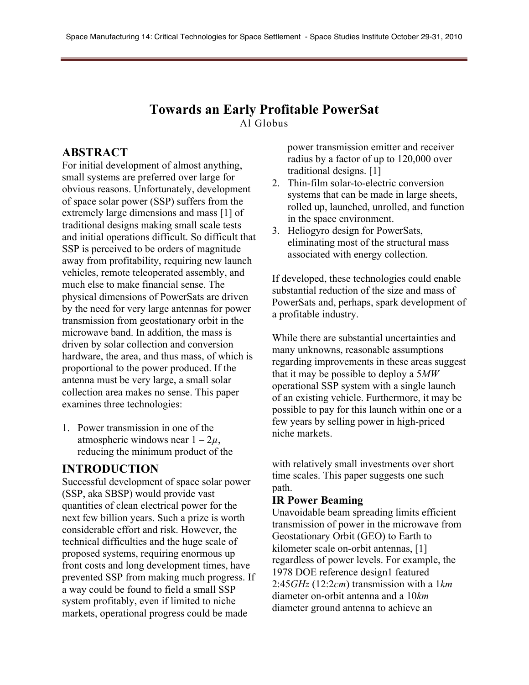#### **Towards an Early Profitable PowerSat** Al Globus

### **ABSTRACT**

For initial development of almost anything, small systems are preferred over large for obvious reasons. Unfortunately, development of space solar power (SSP) suffers from the extremely large dimensions and mass [1] of traditional designs making small scale tests and initial operations difficult. So difficult that SSP is perceived to be orders of magnitude away from profitability, requiring new launch vehicles, remote teleoperated assembly, and much else to make financial sense. The physical dimensions of PowerSats are driven by the need for very large antennas for power transmission from geostationary orbit in the microwave band. In addition, the mass is driven by solar collection and conversion hardware, the area, and thus mass, of which is proportional to the power produced. If the antenna must be very large, a small solar collection area makes no sense. This paper examines three technologies:

1. Power transmission in one of the atmospheric windows near  $1 - 2\mu$ , reducing the minimum product of the

#### **INTRODUCTION**

Successful development of space solar power (SSP, aka SBSP) would provide vast quantities of clean electrical power for the next few billion years. Such a prize is worth considerable effort and risk. However, the technical difficulties and the huge scale of proposed systems, requiring enormous up front costs and long development times, have prevented SSP from making much progress. If a way could be found to field a small SSP system profitably, even if limited to niche markets, operational progress could be made

power transmission emitter and receiver radius by a factor of up to 120,000 over traditional designs. [1]

- 2. Thin-film solar-to-electric conversion systems that can be made in large sheets, rolled up, launched, unrolled, and function in the space environment.
- 3. Heliogyro design for PowerSats, eliminating most of the structural mass associated with energy collection.

If developed, these technologies could enable substantial reduction of the size and mass of PowerSats and, perhaps, spark development of a profitable industry.

While there are substantial uncertainties and many unknowns, reasonable assumptions regarding improvements in these areas suggest that it may be possible to deploy a 5*MW* operational SSP system with a single launch of an existing vehicle. Furthermore, it may be possible to pay for this launch within one or a few years by selling power in high-priced niche markets.

with relatively small investments over short time scales. This paper suggests one such path.

#### **IR Power Beaming**

Unavoidable beam spreading limits efficient transmission of power in the microwave from Geostationary Orbit (GEO) to Earth to kilometer scale on-orbit antennas, [1] regardless of power levels. For example, the 1978 DOE reference design1 featured 2:45*GHz* (12:2*cm*) transmission with a 1*km* diameter on-orbit antenna and a 10*km* diameter ground antenna to achieve an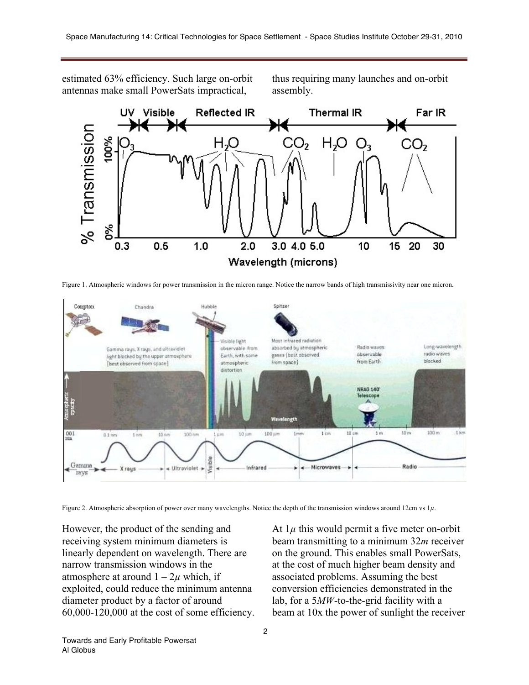estimated 63% efficiency. Such large on-orbit antennas make small PowerSats impractical,

thus requiring many launches and on-orbit assembly.



Figure 1. Atmospheric windows for power transmission in the micron range. Notice the narrow bands of high transmissivity near one micron.



Figure 2. Atmospheric absorption of power over many wavelengths. Notice the depth of the transmission windows around 12cm vs 1*µ*.

However, the product of the sending and receiving system minimum diameters is linearly dependent on wavelength. There are narrow transmission windows in the atmosphere at around  $1 - 2\mu$  which, if exploited, could reduce the minimum antenna diameter product by a factor of around 60,000-120,000 at the cost of some efficiency. At  $1\mu$  this would permit a five meter on-orbit beam transmitting to a minimum 32*m* receiver on the ground. This enables small PowerSats, at the cost of much higher beam density and associated problems. Assuming the best conversion efficiencies demonstrated in the lab, for a 5*MW*-to-the-grid facility with a beam at 10x the power of sunlight the receiver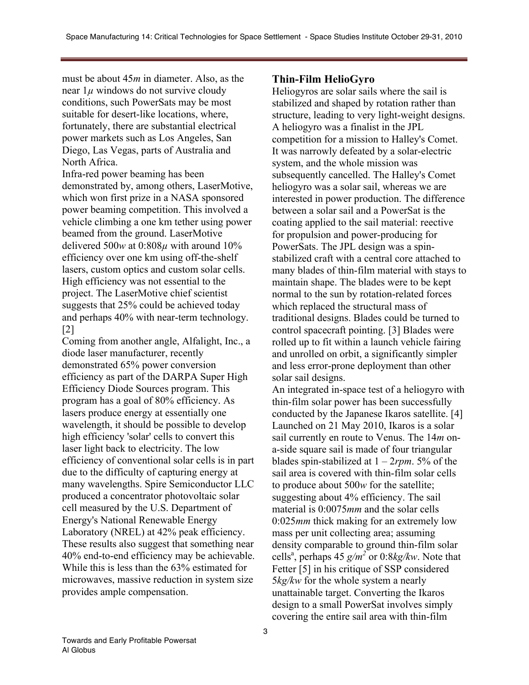must be about 45*m* in diameter. Also, as the near  $1\mu$  windows do not survive cloudy conditions, such PowerSats may be most suitable for desert-like locations, where, fortunately, there are substantial electrical power markets such as Los Angeles, San Diego, Las Vegas, parts of Australia and North Africa.

Infra-red power beaming has been demonstrated by, among others, LaserMotive, which won first prize in a NASA sponsored power beaming competition. This involved a vehicle climbing a one km tether using power beamed from the ground. LaserMotive delivered 500*w* at 0:808*µ* with around 10% efficiency over one km using off-the-shelf lasers, custom optics and custom solar cells. High efficiency was not essential to the project. The LaserMotive chief scientist suggests that 25% could be achieved today and perhaps 40% with near-term technology. [2]

Coming from another angle, Alfalight, Inc., a diode laser manufacturer, recently demonstrated 65% power conversion efficiency as part of the DARPA Super High Efficiency Diode Sources program. This program has a goal of 80% efficiency. As lasers produce energy at essentially one wavelength, it should be possible to develop high efficiency 'solar' cells to convert this laser light back to electricity. The low efficiency of conventional solar cells is in part due to the difficulty of capturing energy at many wavelengths. Spire Semiconductor LLC produced a concentrator photovoltaic solar cell measured by the U.S. Department of Energy's National Renewable Energy Laboratory (NREL) at 42% peak efficiency. These results also suggest that something near 40% end-to-end efficiency may be achievable. While this is less than the 63% estimated for microwaves, massive reduction in system size provides ample compensation.

#### **Thin-Film HelioGyro**

Heliogyros are solar sails where the sail is stabilized and shaped by rotation rather than structure, leading to very light-weight designs. A heliogyro was a finalist in the JPL competition for a mission to Halley's Comet. It was narrowly defeated by a solar-electric system, and the whole mission was subsequently cancelled. The Halley's Comet heliogyro was a solar sail, whereas we are interested in power production. The difference between a solar sail and a PowerSat is the coating applied to the sail material: reective for propulsion and power-producing for PowerSats. The JPL design was a spinstabilized craft with a central core attached to many blades of thin-film material with stays to maintain shape. The blades were to be kept normal to the sun by rotation-related forces which replaced the structural mass of traditional designs. Blades could be turned to control spacecraft pointing. [3] Blades were rolled up to fit within a launch vehicle fairing and unrolled on orbit, a significantly simpler and less error-prone deployment than other solar sail designs.

An integrated in-space test of a heliogyro with thin-film solar power has been successfully conducted by the Japanese Ikaros satellite. [4] Launched on 21 May 2010, Ikaros is a solar sail currently en route to Venus. The 14*m* ona-side square sail is made of four triangular blades spin-stabilized at 1 – 2*rpm*. 5% of the sail area is covered with thin-film solar cells to produce about 500*w* for the satellite; suggesting about 4% efficiency. The sail material is 0:0075*mm* and the solar cells 0:025*mm* thick making for an extremely low mass per unit collecting area; assuming density comparable to ground thin-film solar cells<sup>a</sup>, perhaps 45  $g/m^2$  or 0:8*kg/kw*. Note that Fetter [5] in his critique of SSP considered 5*kg/kw* for the whole system a nearly unattainable target. Converting the Ikaros design to a small PowerSat involves simply covering the entire sail area with thin-film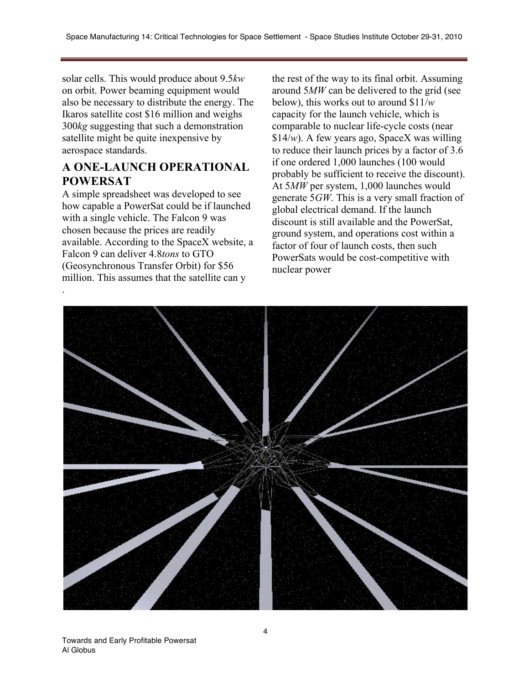solar cells. This would produce about 9.5*kw* on orbit. Power beaming equipment would also be necessary to distribute the energy. The Ikaros satellite cost \$16 million and weighs 300*kg* suggesting that such a demonstration satellite might be quite inexpensive by aerospace standards.

## **A ONE-LAUNCH OPERATIONAL POWERSAT**

A simple spreadsheet was developed to see how capable a PowerSat could be if launched with a single vehicle. The Falcon 9 was chosen because the prices are readily available. According to the SpaceX website, a Falcon 9 can deliver 4.8*tons* to GTO (Geosynchronous Transfer Orbit) for \$56 million. This assumes that the satellite can y

the rest of the way to its final orbit. Assuming around 5*MW* can be delivered to the grid (see below), this works out to around \$11/*w* capacity for the launch vehicle, which is comparable to nuclear life-cycle costs (near \$14/*w*). A few years ago, SpaceX was willing to reduce their launch prices by a factor of 3.6 if one ordered 1,000 launches (100 would probably be sufficient to receive the discount). At 5*MW* per system, 1,000 launches would generate 5*GW*. This is a very small fraction of global electrical demand. If the launch discount is still available and the PowerSat, ground system, and operations cost within a factor of four of launch costs, then such PowerSats would be cost-competitive with nuclear power

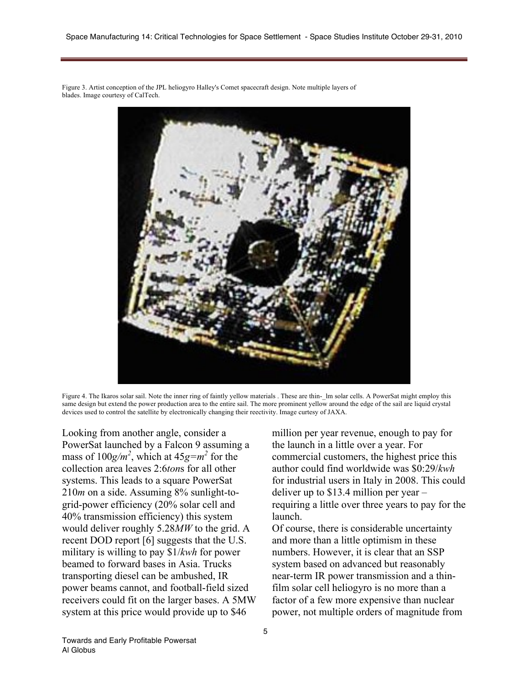Figure 3. Artist conception of the JPL heliogyro Halley's Comet spacecraft design. Note multiple layers of blades. Image courtesy of CalTech.



Figure 4. The Ikaros solar sail. Note the inner ring of faintly yellow materials . These are thin-\_lm solar cells. A PowerSat might employ this same design but extend the power production area to the entire sail. The more prominent yellow around the edge of the sail are liquid crystal devices used to control the satellite by electronically changing their reectivity. Image curtesy of JAXA.

Looking from another angle, consider a PowerSat launched by a Falcon 9 assuming a mass of  $100g/m^2$ , which at  $45g=m^2$  for the collection area leaves 2:6*ton*s for all other systems. This leads to a square PowerSat 210*m* on a side. Assuming 8% sunlight-togrid-power efficiency (20% solar cell and 40% transmission efficiency) this system would deliver roughly 5.28*MW* to the grid. A recent DOD report [6] suggests that the U.S. military is willing to pay \$1/*kwh* for power beamed to forward bases in Asia. Trucks transporting diesel can be ambushed, IR power beams cannot, and football-field sized receivers could fit on the larger bases. A 5MW system at this price would provide up to \$46

million per year revenue, enough to pay for the launch in a little over a year. For commercial customers, the highest price this author could find worldwide was \$0:29/*kwh* for industrial users in Italy in 2008. This could deliver up to \$13.4 million per year – requiring a little over three years to pay for the launch.

Of course, there is considerable uncertainty and more than a little optimism in these numbers. However, it is clear that an SSP system based on advanced but reasonably near-term IR power transmission and a thinfilm solar cell heliogyro is no more than a factor of a few more expensive than nuclear power, not multiple orders of magnitude from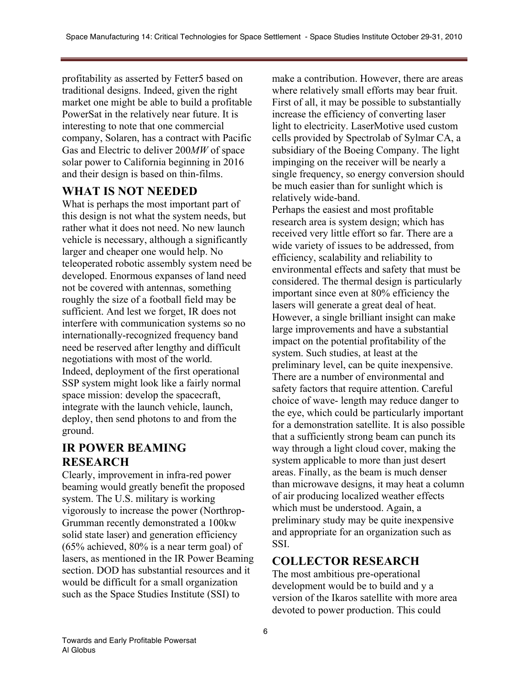profitability as asserted by Fetter5 based on traditional designs. Indeed, given the right market one might be able to build a profitable PowerSat in the relatively near future. It is interesting to note that one commercial company, Solaren, has a contract with Pacific Gas and Electric to deliver 200*MW* of space solar power to California beginning in 2016 and their design is based on thin-films.

# **WHAT IS NOT NEEDED**

What is perhaps the most important part of this design is not what the system needs, but rather what it does not need. No new launch vehicle is necessary, although a significantly larger and cheaper one would help. No teleoperated robotic assembly system need be developed. Enormous expanses of land need not be covered with antennas, something roughly the size of a football field may be sufficient. And lest we forget, IR does not interfere with communication systems so no internationally-recognized frequency band need be reserved after lengthy and difficult negotiations with most of the world. Indeed, deployment of the first operational SSP system might look like a fairly normal space mission: develop the spacecraft, integrate with the launch vehicle, launch, deploy, then send photons to and from the ground.

# **IR POWER BEAMING RESEARCH**

Clearly, improvement in infra-red power beaming would greatly benefit the proposed system. The U.S. military is working vigorously to increase the power (Northrop-Grumman recently demonstrated a 100kw solid state laser) and generation efficiency (65% achieved, 80% is a near term goal) of lasers, as mentioned in the IR Power Beaming section. DOD has substantial resources and it would be difficult for a small organization such as the Space Studies Institute (SSI) to

make a contribution. However, there are areas where relatively small efforts may bear fruit. First of all, it may be possible to substantially increase the efficiency of converting laser light to electricity. LaserMotive used custom cells provided by Spectrolab of Sylmar CA, a subsidiary of the Boeing Company. The light impinging on the receiver will be nearly a single frequency, so energy conversion should be much easier than for sunlight which is relatively wide-band.

Perhaps the easiest and most profitable research area is system design; which has received very little effort so far. There are a wide variety of issues to be addressed, from efficiency, scalability and reliability to environmental effects and safety that must be considered. The thermal design is particularly important since even at 80% efficiency the lasers will generate a great deal of heat. However, a single brilliant insight can make large improvements and have a substantial impact on the potential profitability of the system. Such studies, at least at the preliminary level, can be quite inexpensive. There are a number of environmental and safety factors that require attention. Careful choice of wave- length may reduce danger to the eye, which could be particularly important for a demonstration satellite. It is also possible that a sufficiently strong beam can punch its way through a light cloud cover, making the system applicable to more than just desert areas. Finally, as the beam is much denser than microwave designs, it may heat a column of air producing localized weather effects which must be understood. Again, a preliminary study may be quite inexpensive and appropriate for an organization such as **SSI** 

# **COLLECTOR RESEARCH**

The most ambitious pre-operational development would be to build and y a version of the Ikaros satellite with more area devoted to power production. This could